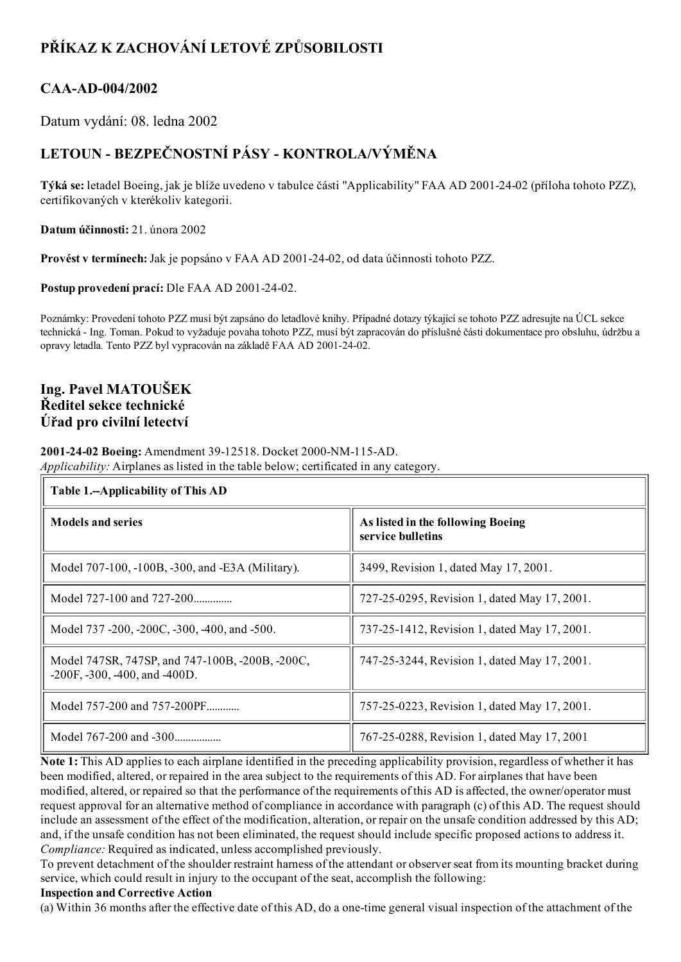# PŘÍKAZ K ZACHOVÁNÍ LETOVÉ ZPŮSOBILOSTI

# CAA-AD-004/2002

Datum vydání: 08. ledna 2002

# LETOUN - BEZPEČNOSTNÍ PÁSY - KONTROLA/VÝMĚNA

Týká se: letadel Boeing, jak je blíže uvedeno v tabulce části "Applicability" FAA AD 2001-24-02 (příloha tohoto PZZ), certifikovaných v kterékoliv kategorii.

Datum účinnosti: 21. února 2002

Provést v termínech: Jak je popsáno v FAA AD 2001-24-02, od data účinnosti tohoto PZZ.

Postup provedení prací: Dle FAA AD 2001-24-02.

Poznámky: Provedení tohoto PZZ musí být zapsáno do letadlové knihy. Případné dotazy týkající se tohoto PZZ adresujte na ÚCL sekce technická Ing. Toman. Pokud to vyžaduje povaha tohoto PZZ, musí být zapracován do příslušné části dokumentace pro obsluhu, údržbu a opravy letadla. Tento PZZ byl vypracován na základě FAA AD 2001-24-02.

## Ing. Pavel MATOUŠEK Ředitel sekce technické Úřad pro civilní letectví

2001-24-02 Boeing: Amendment 39-12518. Docket 2000-NM-115-AD. Applicability: Airplanes as listed in the table below; certificated in any category.

| Table 1.--Applicability of This AD                                                           |                                                        |
|----------------------------------------------------------------------------------------------|--------------------------------------------------------|
| <b>Models and series</b>                                                                     | As listed in the following Boeing<br>service bulletins |
| Model 707-100, -100B, -300, and -E3A (Military).                                             | 3499, Revision 1, dated May 17, 2001.                  |
| Model 727-100 and 727-200                                                                    | 727-25-0295, Revision 1, dated May 17, 2001.           |
| Model 737 -200, -200C, -300, -400, and -500.                                                 | 737-25-1412, Revision 1, dated May 17, 2001.           |
| Model 747SR, 747SP, and 747-100B, -200B, -200C,<br>$-200F$ , $-300$ , $-400$ , and $-400D$ . | 747-25-3244, Revision 1, dated May 17, 2001.           |
| Model 757-200 and 757-200PF                                                                  | 757-25-0223, Revision 1, dated May 17, 2001.           |
| Model 767-200 and -300                                                                       | 767-25-0288, Revision 1, dated May 17, 2001            |

Note 1: This AD applies to each airplane identified in the preceding applicability provision, regardless of whether it has been modified, altered, or repaired in the area subject to the requirements of this AD. For airplanes that have been modified, altered, or repaired so that the performance of the requirements of this AD is affected, the owner/operator must request approval for an alternative method of compliance in accordance with paragraph (c) of this AD. The request should include an assessment of the effect of the modification, alteration, or repair on the unsafe condition addressed by this AD; and, if the unsafe condition has not been eliminated, the request should include specific proposed actions to address it. Compliance: Required as indicated, unless accomplished previously.

To prevent detachment of the shoulder restraint harness of the attendant or observerseat from its mounting bracket during service, which could result in injury to the occupant of the seat, accomplish the following:

#### Inspection and Corrective Action

(a) Within 36 months after the effective date of this AD, do a one-time general visual inspection of the attachment of the